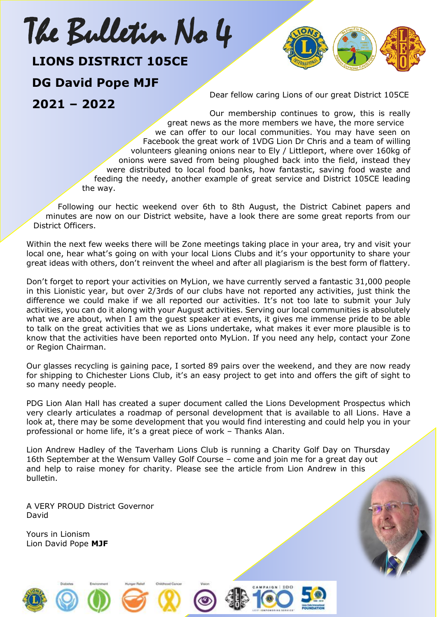# The Bulletin No 4

#### **LIONS DISTRICT 105CE**

# **DG David Pope MJF DG Dav<br>2021 -**

**2021 – 2022**

Dear fellow caring Lions of our great District 105CE

Our membership continues to grow, this is really great news as the more members we have, the more service we can offer to our local communities. You may have seen on Facebook the great work of 1VDG Lion Dr Chris and a team of willing volunteers gleaning onions near to Ely / Littleport, where over 160kg of onions were saved from being ploughed back into the field, instead they were distributed to local food banks, how fantastic, saving food waste and feeding the needy, another example of great service and District 105CE leading the way.

Following our hectic weekend over 6th to 8th August, the District Cabinet papers and minutes are now on our District website, have a look there are some great reports from our District Officers.

Within the next few weeks there will be Zone meetings taking place in your area, try and visit your local one, hear what's going on with your local Lions Clubs and it's your opportunity to share your great ideas with others, don't reinvent the wheel and after all plagiarism is the best form of flattery.

Don't forget to report your activities on MyLion, we have currently served a fantastic 31,000 people in this Lionistic year, but over 2/3rds of our clubs have not reported any activities, just think the difference we could make if we all reported our activities. It's not too late to submit your July activities, you can do it along with your August activities. Serving our local communities is absolutely what we are about, when I am the guest speaker at events, it gives me immense pride to be able to talk on the great activities that we as Lions undertake, what makes it ever more plausible is to know that the activities have been reported onto MyLion. If you need any help, contact your Zone or Region Chairman.

Our glasses recycling is gaining pace, I sorted 89 pairs over the weekend, and they are now ready for shipping to Chichester Lions Club, it's an easy project to get into and offers the gift of sight to so many needy people.

PDG Lion Alan Hall has created a super document called the Lions Development Prospectus which very clearly articulates a roadmap of personal development that is available to all Lions. Have a look at, there may be some development that you would find interesting and could help you in your professional or home life, it's a great piece of work – Thanks Alan.

Lion Andrew Hadley of the Taverham Lions Club is running a Charity Golf Day on Thursday 16th September at the Wensum Valley Golf Course – come and join me for a great day out and help to raise money for charity. Please see the article from Lion Andrew in this bulletin.

A VERY PROUD District Governor David

Yours in Lionism Lion David Pope **MJF**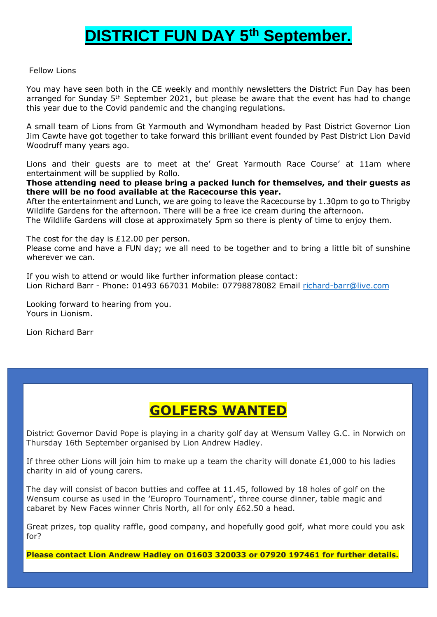### **DISTRICT FUN DAY 5th September.**

#### Fellow Lions

You may have seen both in the CE weekly and monthly newsletters the District Fun Day has been arranged for Sunday 5<sup>th</sup> September 2021, but please be aware that the event has had to change this year due to the Covid pandemic and the changing regulations.

A small team of Lions from Gt Yarmouth and Wymondham headed by Past District Governor Lion Jim Cawte have got together to take forward this brilliant event founded by Past District Lion David Woodruff many years ago.

Lions and their guests are to meet at the' Great Yarmouth Race Course' at 11am where entertainment will be supplied by Rollo.

**Those attending need to please bring a packed lunch for themselves, and their guests as there will be no food available at the Racecourse this year.**

After the entertainment and Lunch, we are going to leave the Racecourse by 1.30pm to go to Thrigby Wildlife Gardens for the afternoon. There will be a free ice cream during the afternoon.

The Wildlife Gardens will close at approximately 5pm so there is plenty of time to enjoy them.

The cost for the day is £12.00 per person.

Please come and have a FUN day; we all need to be together and to bring a little bit of sunshine wherever we can.

If you wish to attend or would like further information please contact: Lion Richard Barr - Phone: 01493 667031 Mobile: 07798878082 Email [richard-barr@live.com](mailto:richard-barr@live.com)

Looking forward to hearing from you. Yours in Lionism.

Lion Richard Barr

#### **GOLFERS WANTED**

District Governor David Pope is playing in a charity golf day at Wensum Valley G.C. in Norwich on Thursday 16th September organised by Lion Andrew Hadley.

If three other Lions will join him to make up a team the charity will donate  $£1,000$  to his ladies charity in aid of young carers.

The day will consist of bacon butties and coffee at 11.45, followed by 18 holes of golf on the Wensum course as used in the 'Europro Tournament', three course dinner, table magic and cabaret by New Faces winner Chris North, all for only £62.50 a head.

Great prizes, top quality raffle, good company, and hopefully good golf, what more could you ask for?

**Please contact Lion Andrew Hadley on 01603 320033 or 07920 197461 for further details.**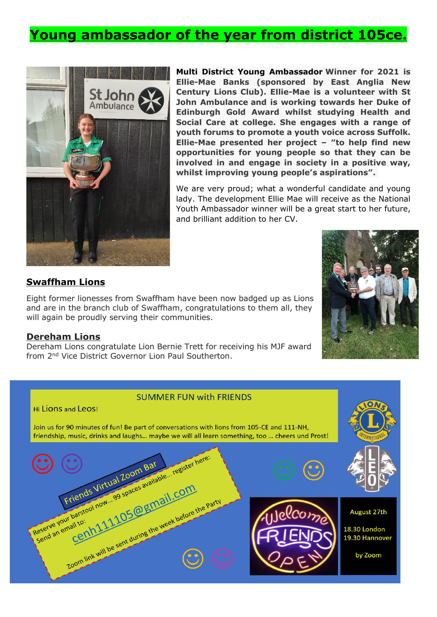#### **Young ambassador of the year from district 105ce.**



**Multi District Young [Ambassador](https://www.facebook.com/hashtag/youngambassador?__eep__=6&__cft__%5b0%5d=AZWuS8hoory3-6xv8LaOo8R5U3DR3h1j3zyHq5I2L_Qixy7r2mCtUyD4NxOATbM0nLxi5yf7enf_OyMAMjGq-henBNEQGtGUXatY6tumO-skLCZ5iRVwK505IwiEFRCsZFLnaLWV6ihfHieL46PcS-_HABKVFKa6Mkt9hq6CByWzeI9qO_TkFPAuDKJOcog8vW8&__tn__=*NK-R) Winner for 2021 is Ellie-Mae Banks (sponsored by East Anglia New Century Lions Club). Ellie-Mae is a volunteer with St John Ambulance and is working towards her Duke of Edinburgh Gold Award whilst studying Health and Social Care at college. She engages with a range of youth forums to promote a youth voice across Suffolk. Ellie-Mae presented her project – "to help find new opportunities for young people so that they can be involved in and engage in society in a positive way, whilst improving young people's aspirations".**

We are very proud; what a wonderful candidate and young lady. The development Ellie Mae will receive as the National Youth Ambassador winner will be a great start to her future, and brilliant addition to her CV.

#### **Swaffham Lions**

Eight former lionesses from Swaffham have been now badged up as Lions and are in the branch club of Swaffham, congratulations to them all, they will again be proudly serving their communities.

#### **Dereham Lions**

Hi Lions and Leos!

Dereham Lions congratulate Lion Bernie Trett for receiving his MJF award from 2nd Vice District Governor Lion Paul Southerton.



#### **SUMMER FUN with FRIENDS**

Join us for 90 minutes of fun! Be part of conversations with lions from 105-CE and 111-NH, friendship, music, drinks and laughs... maybe we will all learn something, too ... cheers und Prost!

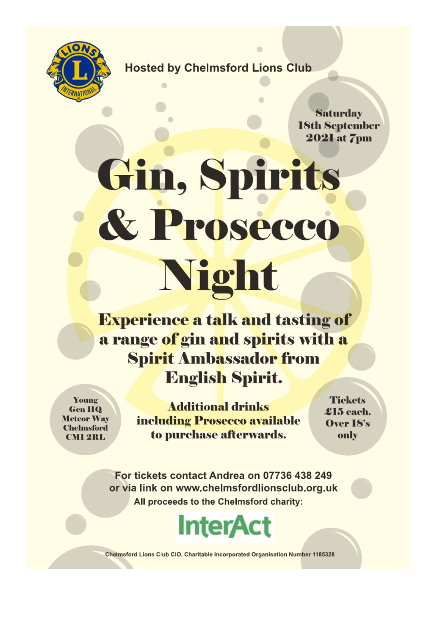

#### **Hosted by Chelmsford Lions Club**

Saturday **18th September 2021** at 7pm

# Gin, Spirits & Prosecco **Night**

**Experience a talk and tasting of** a range of gin and spirits with a **Spirit Ambassador from English Spirit.** 

Young **Gen HQ Meteor Way Chelmsford CMI 2RL** 

**Additional drinks** including Prosecco available to purchase afterwards.

**Tickets**  $\pounds$ 15 each. Over 18's only

For tickets contact Andrea on 07736 438 249 or via link on www.chelmsfordlionsclub.org.uk All proceeds to the Chelmsford charity:



Chelmsford Lions Club CIO, Charitable Incorporated Organisation Number 1185328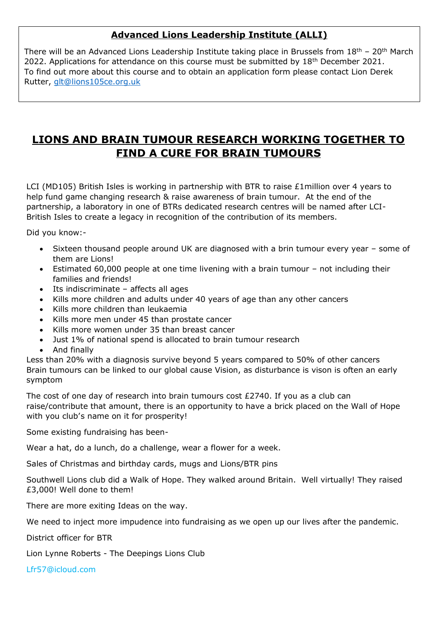#### **Advanced Lions Leadership Institute (ALLI)**

There will be an Advanced Lions Leadership Institute taking place in Brussels from  $18<sup>th</sup>$  – 20<sup>th</sup> March 2022. Applications for attendance on this course must be submitted by  $18<sup>th</sup>$  December 2021. To find out more about this course and to obtain an application form please contact Lion Derek Rutter, [glt@lions105ce.org.uk](mailto:glt@lions105ce.org.uk)

#### **LIONS AND BRAIN TUMOUR RESEARCH WORKING TOGETHER TO FIND A CURE FOR BRAIN TUMOURS**

LCI (MD105) British Isles is working in partnership with BTR to raise £1million over 4 years to help fund game changing research & raise awareness of brain tumour. At the end of the partnership, a laboratory in one of BTRs dedicated research centres will be named after LCI-British Isles to create a legacy in recognition of the contribution of its members.

Did you know:-

- Sixteen thousand people around UK are diagnosed with a brin tumour every year some of them are Lions!
- Estimated 60,000 people at one time livening with a brain tumour not including their families and friends!
- Its indiscriminate affects all ages
- Kills more children and adults under 40 years of age than any other cancers
- Kills more children than leukaemia
- Kills more men under 45 than prostate cancer
- Kills more women under 35 than breast cancer
- Just 1% of national spend is allocated to brain tumour research
- And finally

Less than 20% with a diagnosis survive beyond 5 years compared to 50% of other cancers Brain tumours can be linked to our global cause Vision, as disturbance is vison is often an early symptom

The cost of one day of research into brain tumours cost £2740. If you as a club can raise/contribute that amount, there is an opportunity to have a brick placed on the Wall of Hope with you club's name on it for prosperity!

Some existing fundraising has been-

Wear a hat, do a lunch, do a challenge, wear a flower for a week.

Sales of Christmas and birthday cards, mugs and Lions/BTR pins

Southwell Lions club did a Walk of Hope. They walked around Britain. Well virtually! They raised £3,000! Well done to them!

There are more exiting Ideas on the way.

We need to inject more impudence into fundraising as we open up our lives after the pandemic.

District officer for BTR

Lion Lynne Roberts - The Deepings Lions Club

Lfr57@icloud.com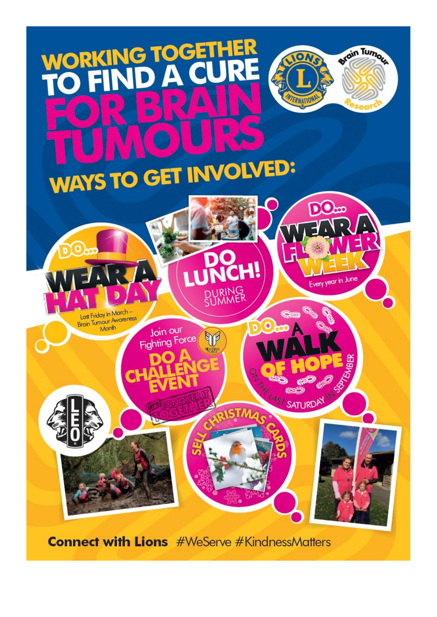

**Connect with Lions** #WeServe #KindnessMatters